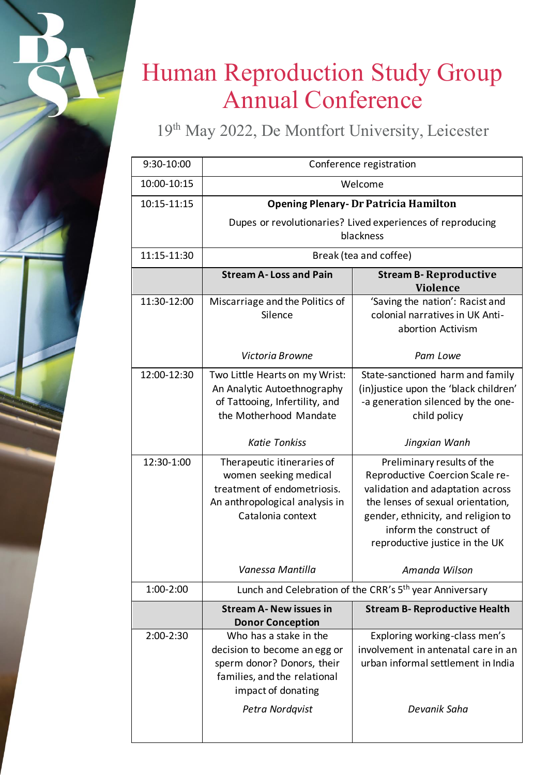## Human Reproduction Study Group Annual Conference

19th May 2022, De Montfort University, Leicester

| 9:30-10:00  | Conference registration                                                                                                                                       |                                                                                                                                                                                                                                           |
|-------------|---------------------------------------------------------------------------------------------------------------------------------------------------------------|-------------------------------------------------------------------------------------------------------------------------------------------------------------------------------------------------------------------------------------------|
| 10:00-10:15 | Welcome                                                                                                                                                       |                                                                                                                                                                                                                                           |
| 10:15-11:15 | <b>Opening Plenary-Dr Patricia Hamilton</b>                                                                                                                   |                                                                                                                                                                                                                                           |
|             | Dupes or revolutionaries? Lived experiences of reproducing                                                                                                    |                                                                                                                                                                                                                                           |
|             | blackness                                                                                                                                                     |                                                                                                                                                                                                                                           |
| 11:15-11:30 | Break (tea and coffee)                                                                                                                                        |                                                                                                                                                                                                                                           |
|             | <b>Stream A-Loss and Pain</b>                                                                                                                                 | <b>Stream B- Reproductive</b><br><b>Violence</b>                                                                                                                                                                                          |
| 11:30-12:00 | Miscarriage and the Politics of<br>Silence                                                                                                                    | 'Saving the nation': Racist and<br>colonial narratives in UK Anti-<br>abortion Activism                                                                                                                                                   |
|             | Victoria Browne                                                                                                                                               | Pam Lowe                                                                                                                                                                                                                                  |
| 12:00-12:30 | Two Little Hearts on my Wrist:<br>An Analytic Autoethnography<br>of Tattooing, Infertility, and<br>the Motherhood Mandate                                     | State-sanctioned harm and family<br>(in) justice upon the 'black children'<br>-a generation silenced by the one-<br>child policy                                                                                                          |
|             | <b>Katie Tonkiss</b>                                                                                                                                          | Jingxian Wanh                                                                                                                                                                                                                             |
| 12:30-1:00  | Therapeutic itineraries of<br>women seeking medical<br>treatment of endometriosis.<br>An anthropological analysis in<br>Catalonia context                     | Preliminary results of the<br>Reproductive Coercion Scale re-<br>validation and adaptation across<br>the lenses of sexual orientation,<br>gender, ethnicity, and religion to<br>inform the construct of<br>reproductive justice in the UK |
|             | Vanessa Mantilla                                                                                                                                              | Amanda Wilson                                                                                                                                                                                                                             |
| 1:00-2:00   | Lunch and Celebration of the CRR's 5 <sup>th</sup> year Anniversary                                                                                           |                                                                                                                                                                                                                                           |
|             | <b>Stream A- New issues in</b><br><b>Donor Conception</b>                                                                                                     | <b>Stream B- Reproductive Health</b>                                                                                                                                                                                                      |
| 2:00-2:30   | Who has a stake in the<br>decision to become an egg or<br>sperm donor? Donors, their<br>families, and the relational<br>impact of donating<br>Petra Nordqvist | Exploring working-class men's<br>involvement in antenatal care in an<br>urban informal settlement in India<br>Devanik Saha                                                                                                                |